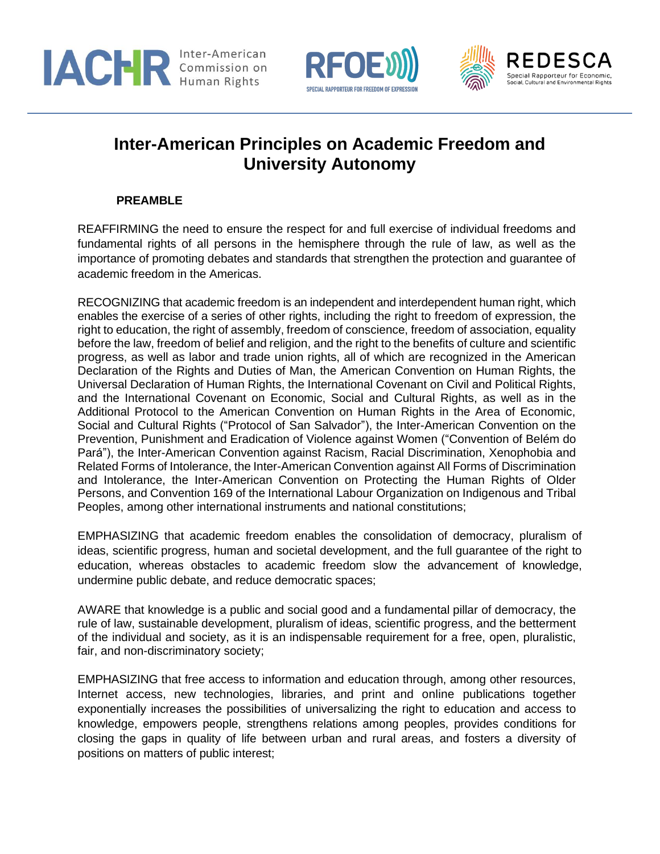





# **Inter-American Principles on Academic Freedom and University Autonomy**

### **PREAMBLE**

REAFFIRMING the need to ensure the respect for and full exercise of individual freedoms and fundamental rights of all persons in the hemisphere through the rule of law, as well as the importance of promoting debates and standards that strengthen the protection and guarantee of academic freedom in the Americas.

RECOGNIZING that academic freedom is an independent and interdependent human right, which enables the exercise of a series of other rights, including the right to freedom of expression, the right to education, the right of assembly, freedom of conscience, freedom of association, equality before the law, freedom of belief and religion, and the right to the benefits of culture and scientific progress, as well as labor and trade union rights, all of which are recognized in the American Declaration of the Rights and Duties of Man, the American Convention on Human Rights, the Universal Declaration of Human Rights, the International Covenant on Civil and Political Rights, and the International Covenant on Economic, Social and Cultural Rights, as well as in the Additional Protocol to the American Convention on Human Rights in the Area of Economic, Social and Cultural Rights ("Protocol of San Salvador"), the Inter-American Convention on the Prevention, Punishment and Eradication of Violence against Women ("Convention of Belém do Pará"), the Inter-American Convention against Racism, Racial Discrimination, Xenophobia and Related Forms of Intolerance, the Inter-American Convention against All Forms of Discrimination and Intolerance, the Inter-American Convention on Protecting the Human Rights of Older Persons, and Convention 169 of the International Labour Organization on Indigenous and Tribal Peoples, among other international instruments and national constitutions;

EMPHASIZING that academic freedom enables the consolidation of democracy, pluralism of ideas, scientific progress, human and societal development, and the full guarantee of the right to education, whereas obstacles to academic freedom slow the advancement of knowledge, undermine public debate, and reduce democratic spaces;

AWARE that knowledge is a public and social good and a fundamental pillar of democracy, the rule of law, sustainable development, pluralism of ideas, scientific progress, and the betterment of the individual and society, as it is an indispensable requirement for a free, open, pluralistic, fair, and non-discriminatory society;

EMPHASIZING that free access to information and education through, among other resources, Internet access, new technologies, libraries, and print and online publications together exponentially increases the possibilities of universalizing the right to education and access to knowledge, empowers people, strengthens relations among peoples, provides conditions for closing the gaps in quality of life between urban and rural areas, and fosters a diversity of positions on matters of public interest;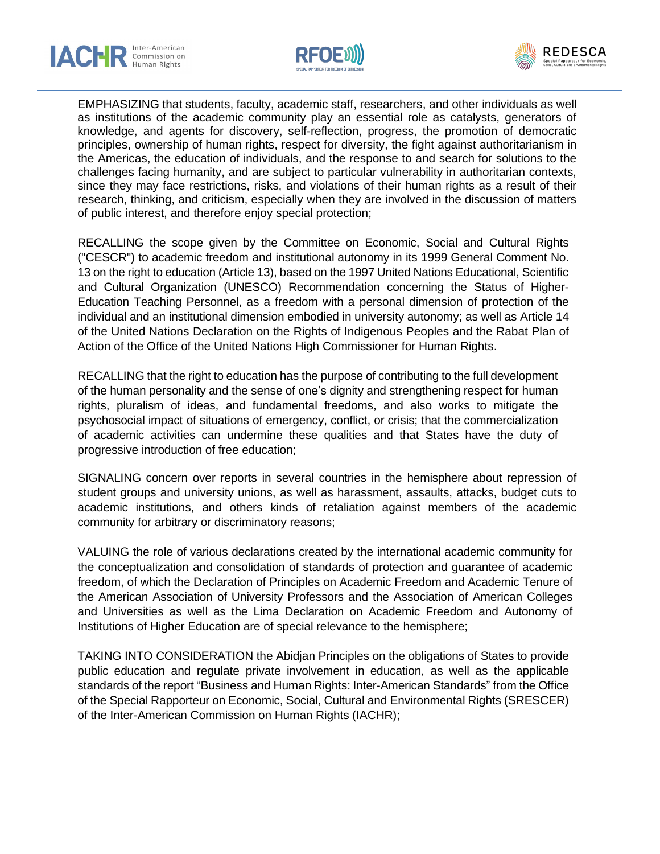





EMPHASIZING that students, faculty, academic staff, researchers, and other individuals as well as institutions of the academic community play an essential role as catalysts, generators of knowledge, and agents for discovery, self-reflection, progress, the promotion of democratic principles, ownership of human rights, respect for diversity, the fight against authoritarianism in the Americas, the education of individuals, and the response to and search for solutions to the challenges facing humanity, and are subject to particular vulnerability in authoritarian contexts, since they may face restrictions, risks, and violations of their human rights as a result of their research, thinking, and criticism, especially when they are involved in the discussion of matters of public interest, and therefore enjoy special protection;

RECALLING the scope given by the Committee on Economic, Social and Cultural Rights ("CESCR") to academic freedom and institutional autonomy in its 1999 General Comment No. 13 on the right to education (Article 13), based on the 1997 United Nations Educational, Scientific and Cultural Organization (UNESCO) Recommendation concerning the Status of Higher-Education Teaching Personnel, as a freedom with a personal dimension of protection of the individual and an institutional dimension embodied in university autonomy; as well as Article 14 of the United Nations Declaration on the Rights of Indigenous Peoples and the Rabat Plan of Action of the Office of the United Nations High Commissioner for Human Rights.

RECALLING that the right to education has the purpose of contributing to the full development of the human personality and the sense of one's dignity and strengthening respect for human rights, pluralism of ideas, and fundamental freedoms, and also works to mitigate the psychosocial impact of situations of emergency, conflict, or crisis; that the commercialization of academic activities can undermine these qualities and that States have the duty of progressive introduction of free education;

SIGNALING concern over reports in several countries in the hemisphere about repression of student groups and university unions, as well as harassment, assaults, attacks, budget cuts to academic institutions, and others kinds of retaliation against members of the academic community for arbitrary or discriminatory reasons;

VALUING the role of various declarations created by the international academic community for the conceptualization and consolidation of standards of protection and guarantee of academic freedom, of which the Declaration of Principles on Academic Freedom and Academic Tenure of the American Association of University Professors and the Association of American Colleges and Universities as well as the Lima Declaration on Academic Freedom and Autonomy of Institutions of Higher Education are of special relevance to the hemisphere;

TAKING INTO CONSIDERATION the Abidjan Principles on the obligations of States to provide public education and regulate private involvement in education, as well as the applicable standards of the report "Business and Human Rights: Inter-American Standards" from the Office of the Special Rapporteur on Economic, Social, Cultural and Environmental Rights (SRESCER) of the Inter-American Commission on Human Rights (IACHR);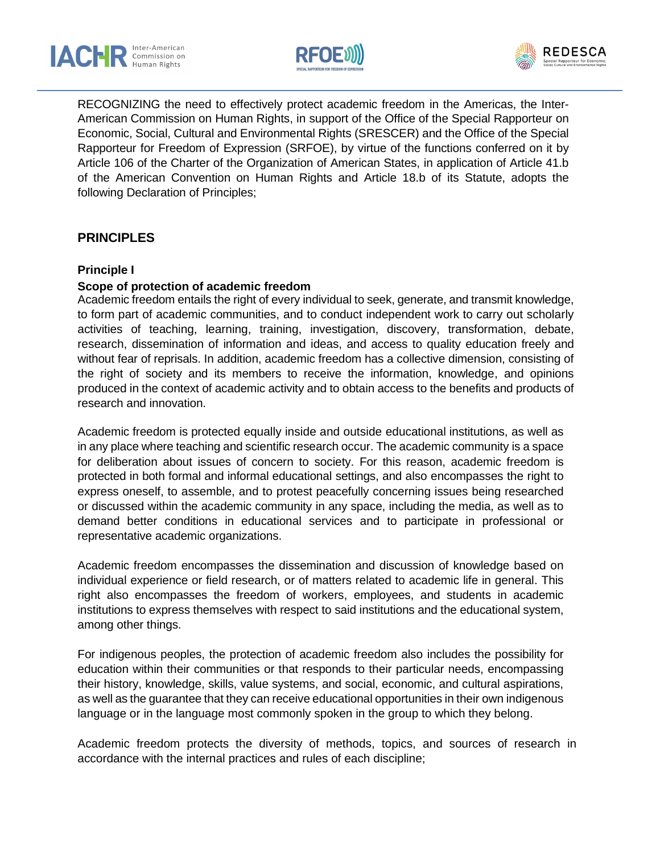





RECOGNIZING the need to effectively protect academic freedom in the Americas, the Inter-American Commission on Human Rights, in support of the Office of the Special Rapporteur on Economic, Social, Cultural and Environmental Rights (SRESCER) and the Office of the Special Rapporteur for Freedom of Expression (SRFOE), by virtue of the functions conferred on it by Article 106 of the Charter of the Organization of American States, in application of Article 41.b of the American Convention on Human Rights and Article 18.b of its Statute, adopts the following Declaration of Principles;

# **PRINCIPLES**

#### **Principle I**

#### **Scope of protection of academic freedom**

Academic freedom entails the right of every individual to seek, generate, and transmit knowledge, to form part of academic communities, and to conduct independent work to carry out scholarly activities of teaching, learning, training, investigation, discovery, transformation, debate, research, dissemination of information and ideas, and access to quality education freely and without fear of reprisals. In addition, academic freedom has a collective dimension, consisting of the right of society and its members to receive the information, knowledge, and opinions produced in the context of academic activity and to obtain access to the benefits and products of research and innovation.

Academic freedom is protected equally inside and outside educational institutions, as well as in any place where teaching and scientific research occur. The academic community is a space for deliberation about issues of concern to society. For this reason, academic freedom is protected in both formal and informal educational settings, and also encompasses the right to express oneself, to assemble, and to protest peacefully concerning issues being researched or discussed within the academic community in any space, including the media, as well as to demand better conditions in educational services and to participate in professional or representative academic organizations.

Academic freedom encompasses the dissemination and discussion of knowledge based on individual experience or field research, or of matters related to academic life in general. This right also encompasses the freedom of workers, employees, and students in academic institutions to express themselves with respect to said institutions and the educational system, among other things.

For indigenous peoples, the protection of academic freedom also includes the possibility for education within their communities or that responds to their particular needs, encompassing their history, knowledge, skills, value systems, and social, economic, and cultural aspirations, as well as the guarantee that they can receive educational opportunities in their own indigenous language or in the language most commonly spoken in the group to which they belong.

Academic freedom protects the diversity of methods, topics, and sources of research in accordance with the internal practices and rules of each discipline;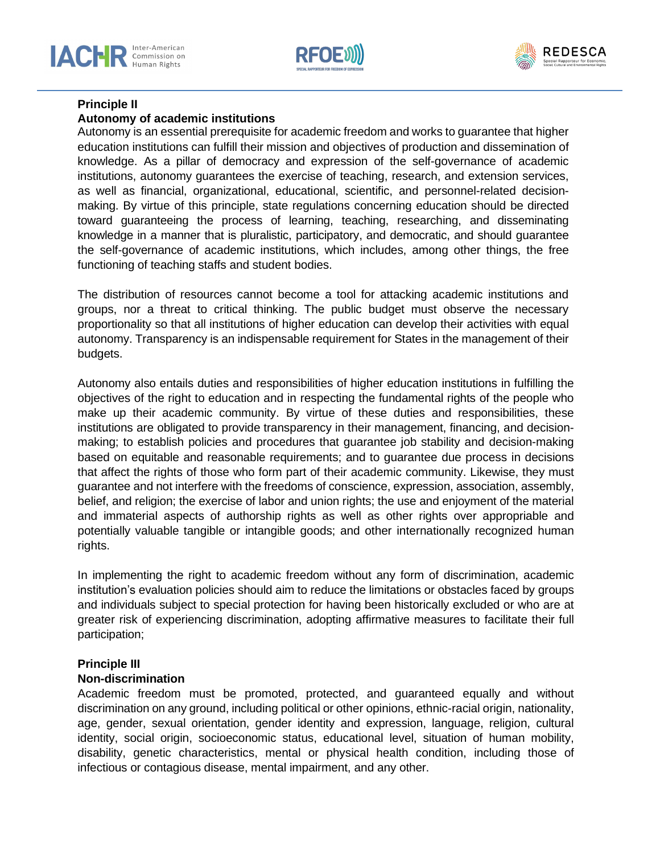





# **Principle II**

#### **Autonomy of academic institutions**

Autonomy is an essential prerequisite for academic freedom and works to guarantee that higher education institutions can fulfill their mission and objectives of production and dissemination of knowledge. As a pillar of democracy and expression of the self-governance of academic institutions, autonomy guarantees the exercise of teaching, research, and extension services, as well as financial, organizational, educational, scientific, and personnel-related decisionmaking. By virtue of this principle, state regulations concerning education should be directed toward guaranteeing the process of learning, teaching, researching, and disseminating knowledge in a manner that is pluralistic, participatory, and democratic, and should guarantee the self-governance of academic institutions, which includes, among other things, the free functioning of teaching staffs and student bodies.

The distribution of resources cannot become a tool for attacking academic institutions and groups, nor a threat to critical thinking. The public budget must observe the necessary proportionality so that all institutions of higher education can develop their activities with equal autonomy. Transparency is an indispensable requirement for States in the management of their budgets.

Autonomy also entails duties and responsibilities of higher education institutions in fulfilling the objectives of the right to education and in respecting the fundamental rights of the people who make up their academic community. By virtue of these duties and responsibilities, these institutions are obligated to provide transparency in their management, financing, and decisionmaking; to establish policies and procedures that guarantee job stability and decision-making based on equitable and reasonable requirements; and to guarantee due process in decisions that affect the rights of those who form part of their academic community. Likewise, they must guarantee and not interfere with the freedoms of conscience, expression, association, assembly, belief, and religion; the exercise of labor and union rights; the use and enjoyment of the material and immaterial aspects of authorship rights as well as other rights over appropriable and potentially valuable tangible or intangible goods; and other internationally recognized human rights.

In implementing the right to academic freedom without any form of discrimination, academic institution's evaluation policies should aim to reduce the limitations or obstacles faced by groups and individuals subject to special protection for having been historically excluded or who are at greater risk of experiencing discrimination, adopting affirmative measures to facilitate their full participation;

#### **Principle III**

#### **Non-discrimination**

Academic freedom must be promoted, protected, and guaranteed equally and without discrimination on any ground, including political or other opinions, ethnic-racial origin, nationality, age, gender, sexual orientation, gender identity and expression, language, religion, cultural identity, social origin, socioeconomic status, educational level, situation of human mobility, disability, genetic characteristics, mental or physical health condition, including those of infectious or contagious disease, mental impairment, and any other.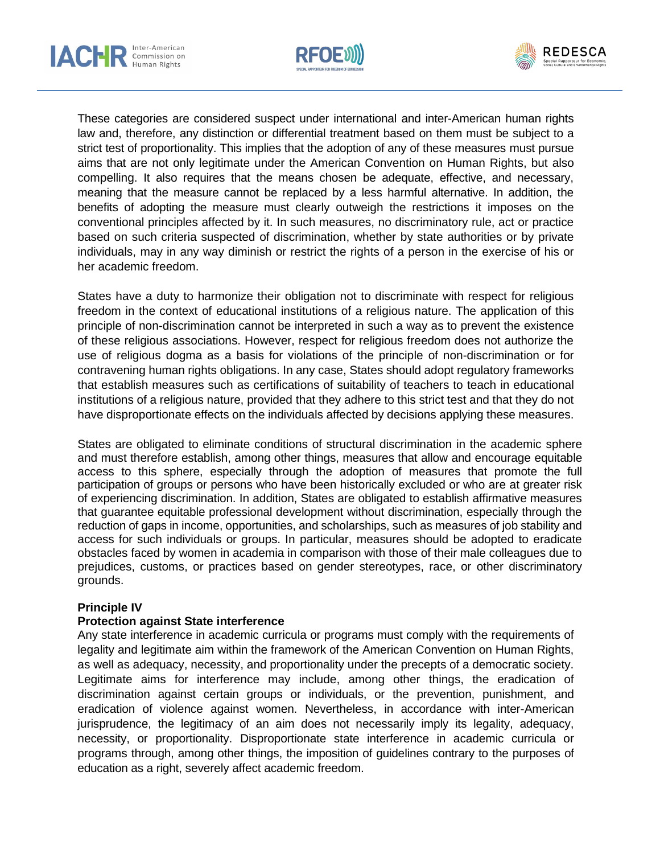





These categories are considered suspect under international and inter-American human rights law and, therefore, any distinction or differential treatment based on them must be subject to a strict test of proportionality. This implies that the adoption of any of these measures must pursue aims that are not only legitimate under the American Convention on Human Rights, but also compelling. It also requires that the means chosen be adequate, effective, and necessary, meaning that the measure cannot be replaced by a less harmful alternative. In addition, the benefits of adopting the measure must clearly outweigh the restrictions it imposes on the conventional principles affected by it. In such measures, no discriminatory rule, act or practice based on such criteria suspected of discrimination, whether by state authorities or by private individuals, may in any way diminish or restrict the rights of a person in the exercise of his or her academic freedom.

States have a duty to harmonize their obligation not to discriminate with respect for religious freedom in the context of educational institutions of a religious nature. The application of this principle of non-discrimination cannot be interpreted in such a way as to prevent the existence of these religious associations. However, respect for religious freedom does not authorize the use of religious dogma as a basis for violations of the principle of non-discrimination or for contravening human rights obligations. In any case, States should adopt regulatory frameworks that establish measures such as certifications of suitability of teachers to teach in educational institutions of a religious nature, provided that they adhere to this strict test and that they do not have disproportionate effects on the individuals affected by decisions applying these measures.

States are obligated to eliminate conditions of structural discrimination in the academic sphere and must therefore establish, among other things, measures that allow and encourage equitable access to this sphere, especially through the adoption of measures that promote the full participation of groups or persons who have been historically excluded or who are at greater risk of experiencing discrimination. In addition, States are obligated to establish affirmative measures that guarantee equitable professional development without discrimination, especially through the reduction of gaps in income, opportunities, and scholarships, such as measures of job stability and access for such individuals or groups. In particular, measures should be adopted to eradicate obstacles faced by women in academia in comparison with those of their male colleagues due to prejudices, customs, or practices based on gender stereotypes, race, or other discriminatory grounds.

#### **Principle IV**

#### **Protection against State interference**

Any state interference in academic curricula or programs must comply with the requirements of legality and legitimate aim within the framework of the American Convention on Human Rights, as well as adequacy, necessity, and proportionality under the precepts of a democratic society. Legitimate aims for interference may include, among other things, the eradication of discrimination against certain groups or individuals, or the prevention, punishment, and eradication of violence against women. Nevertheless, in accordance with inter-American jurisprudence, the legitimacy of an aim does not necessarily imply its legality, adequacy, necessity, or proportionality. Disproportionate state interference in academic curricula or programs through, among other things, the imposition of guidelines contrary to the purposes of education as a right, severely affect academic freedom.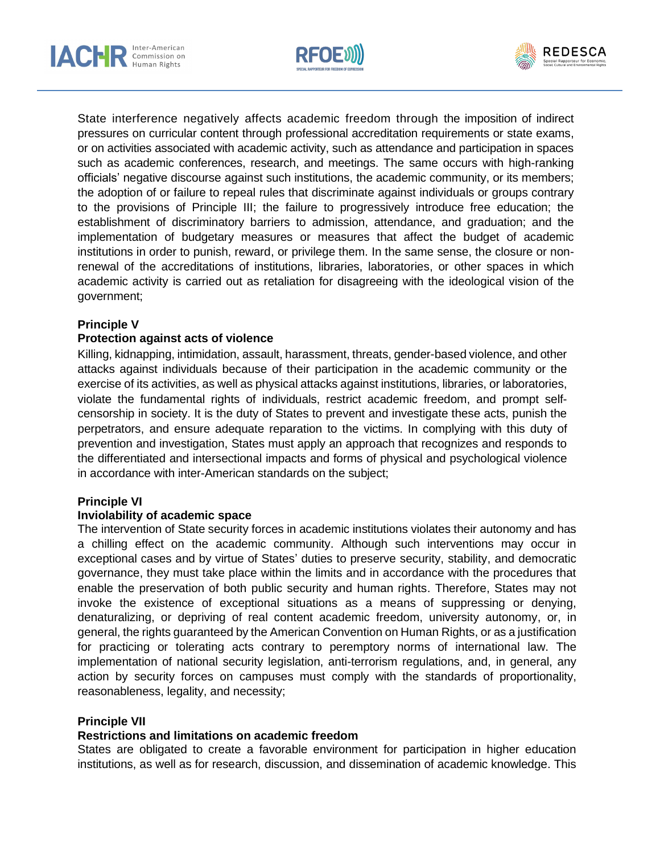





State interference negatively affects academic freedom through the imposition of indirect pressures on curricular content through professional accreditation requirements or state exams, or on activities associated with academic activity, such as attendance and participation in spaces such as academic conferences, research, and meetings. The same occurs with high-ranking officials' negative discourse against such institutions, the academic community, or its members; the adoption of or failure to repeal rules that discriminate against individuals or groups contrary to the provisions of Principle III; the failure to progressively introduce free education; the establishment of discriminatory barriers to admission, attendance, and graduation; and the implementation of budgetary measures or measures that affect the budget of academic institutions in order to punish, reward, or privilege them. In the same sense, the closure or nonrenewal of the accreditations of institutions, libraries, laboratories, or other spaces in which academic activity is carried out as retaliation for disagreeing with the ideological vision of the government;

#### **Principle V**

#### **Protection against acts of violence**

Killing, kidnapping, intimidation, assault, harassment, threats, gender-based violence, and other attacks against individuals because of their participation in the academic community or the exercise of its activities, as well as physical attacks against institutions, libraries, or laboratories, violate the fundamental rights of individuals, restrict academic freedom, and prompt selfcensorship in society. It is the duty of States to prevent and investigate these acts, punish the perpetrators, and ensure adequate reparation to the victims. In complying with this duty of prevention and investigation, States must apply an approach that recognizes and responds to the differentiated and intersectional impacts and forms of physical and psychological violence in accordance with inter-American standards on the subject;

#### **Principle VI**

#### **Inviolability of academic space**

The intervention of State security forces in academic institutions violates their autonomy and has a chilling effect on the academic community. Although such interventions may occur in exceptional cases and by virtue of States' duties to preserve security, stability, and democratic governance, they must take place within the limits and in accordance with the procedures that enable the preservation of both public security and human rights. Therefore, States may not invoke the existence of exceptional situations as a means of suppressing or denying, denaturalizing, or depriving of real content academic freedom, university autonomy, or, in general, the rights guaranteed by the American Convention on Human Rights, or as a justification for practicing or tolerating acts contrary to peremptory norms of international law. The implementation of national security legislation, anti-terrorism regulations, and, in general, any action by security forces on campuses must comply with the standards of proportionality, reasonableness, legality, and necessity;

#### **Principle VII**

#### **Restrictions and limitations on academic freedom**

States are obligated to create a favorable environment for participation in higher education institutions, as well as for research, discussion, and dissemination of academic knowledge. This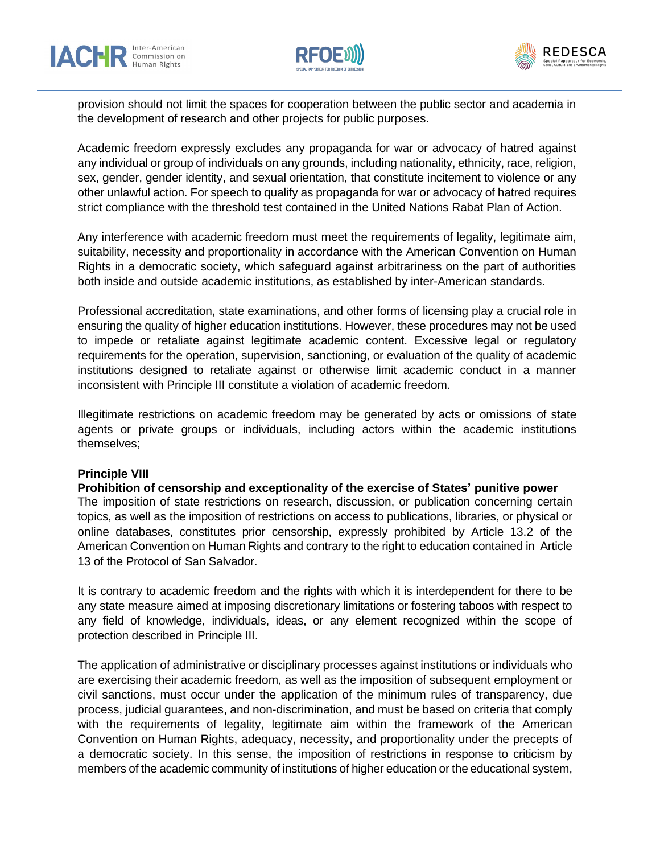





provision should not limit the spaces for cooperation between the public sector and academia in the development of research and other projects for public purposes.

Academic freedom expressly excludes any propaganda for war or advocacy of hatred against any individual or group of individuals on any grounds, including nationality, ethnicity, race, religion, sex, gender, gender identity, and sexual orientation, that constitute incitement to violence or any other unlawful action. For speech to qualify as propaganda for war or advocacy of hatred requires strict compliance with the threshold test contained in the United Nations Rabat Plan of Action.

Any interference with academic freedom must meet the requirements of legality, legitimate aim, suitability, necessity and proportionality in accordance with the American Convention on Human Rights in a democratic society, which safeguard against arbitrariness on the part of authorities both inside and outside academic institutions, as established by inter-American standards.

Professional accreditation, state examinations, and other forms of licensing play a crucial role in ensuring the quality of higher education institutions. However, these procedures may not be used to impede or retaliate against legitimate academic content. Excessive legal or regulatory requirements for the operation, supervision, sanctioning, or evaluation of the quality of academic institutions designed to retaliate against or otherwise limit academic conduct in a manner inconsistent with Principle III constitute a violation of academic freedom.

Illegitimate restrictions on academic freedom may be generated by acts or omissions of state agents or private groups or individuals, including actors within the academic institutions themselves;

#### **Principle VIII**

#### **Prohibition of censorship and exceptionality of the exercise of States' punitive power**

The imposition of state restrictions on research, discussion, or publication concerning certain topics, as well as the imposition of restrictions on access to publications, libraries, or physical or online databases, constitutes prior censorship, expressly prohibited by Article 13.2 of the American Convention on Human Rights and contrary to the right to education contained in Article 13 of the Protocol of San Salvador.

It is contrary to academic freedom and the rights with which it is interdependent for there to be any state measure aimed at imposing discretionary limitations or fostering taboos with respect to any field of knowledge, individuals, ideas, or any element recognized within the scope of protection described in Principle III.

The application of administrative or disciplinary processes against institutions or individuals who are exercising their academic freedom, as well as the imposition of subsequent employment or civil sanctions, must occur under the application of the minimum rules of transparency, due process, judicial guarantees, and non-discrimination, and must be based on criteria that comply with the requirements of legality, legitimate aim within the framework of the American Convention on Human Rights, adequacy, necessity, and proportionality under the precepts of a democratic society. In this sense, the imposition of restrictions in response to criticism by members of the academic community of institutions of higher education or the educational system,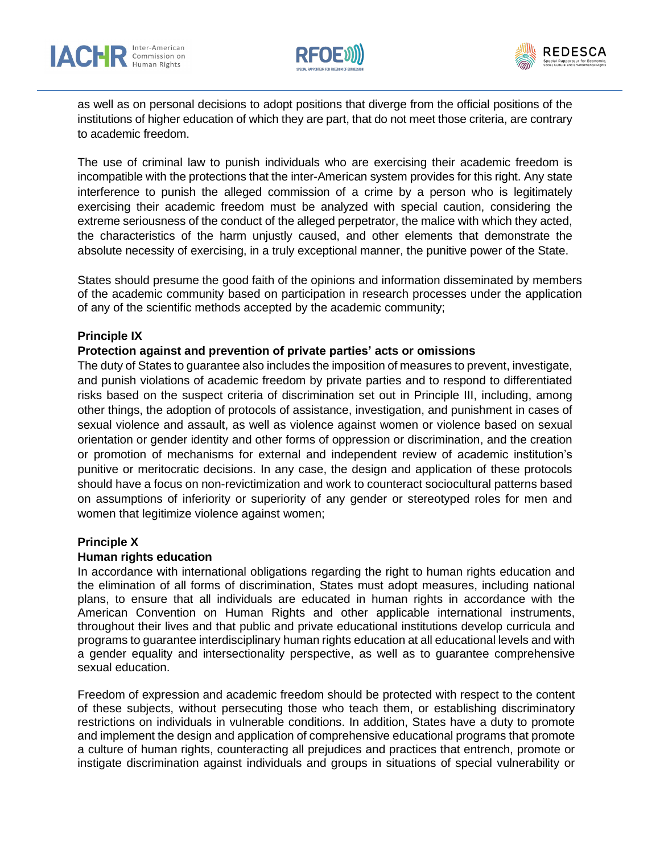





as well as on personal decisions to adopt positions that diverge from the official positions of the institutions of higher education of which they are part, that do not meet those criteria, are contrary to academic freedom.

The use of criminal law to punish individuals who are exercising their academic freedom is incompatible with the protections that the inter-American system provides for this right. Any state interference to punish the alleged commission of a crime by a person who is legitimately exercising their academic freedom must be analyzed with special caution, considering the extreme seriousness of the conduct of the alleged perpetrator, the malice with which they acted, the characteristics of the harm unjustly caused, and other elements that demonstrate the absolute necessity of exercising, in a truly exceptional manner, the punitive power of the State.

States should presume the good faith of the opinions and information disseminated by members of the academic community based on participation in research processes under the application of any of the scientific methods accepted by the academic community;

#### **Principle IX**

#### **Protection against and prevention of private parties' acts or omissions**

The duty of States to guarantee also includes the imposition of measures to prevent, investigate, and punish violations of academic freedom by private parties and to respond to differentiated risks based on the suspect criteria of discrimination set out in Principle III, including, among other things, the adoption of protocols of assistance, investigation, and punishment in cases of sexual violence and assault, as well as violence against women or violence based on sexual orientation or gender identity and other forms of oppression or discrimination, and the creation or promotion of mechanisms for external and independent review of academic institution's punitive or meritocratic decisions. In any case, the design and application of these protocols should have a focus on non-revictimization and work to counteract sociocultural patterns based on assumptions of inferiority or superiority of any gender or stereotyped roles for men and women that legitimize violence against women;

#### **Principle X**

#### **Human rights education**

In accordance with international obligations regarding the right to human rights education and the elimination of all forms of discrimination, States must adopt measures, including national plans, to ensure that all individuals are educated in human rights in accordance with the American Convention on Human Rights and other applicable international instruments, throughout their lives and that public and private educational institutions develop curricula and programs to guarantee interdisciplinary human rights education at all educational levels and with a gender equality and intersectionality perspective, as well as to guarantee comprehensive sexual education.

Freedom of expression and academic freedom should be protected with respect to the content of these subjects, without persecuting those who teach them, or establishing discriminatory restrictions on individuals in vulnerable conditions. In addition, States have a duty to promote and implement the design and application of comprehensive educational programs that promote a culture of human rights, counteracting all prejudices and practices that entrench, promote or instigate discrimination against individuals and groups in situations of special vulnerability or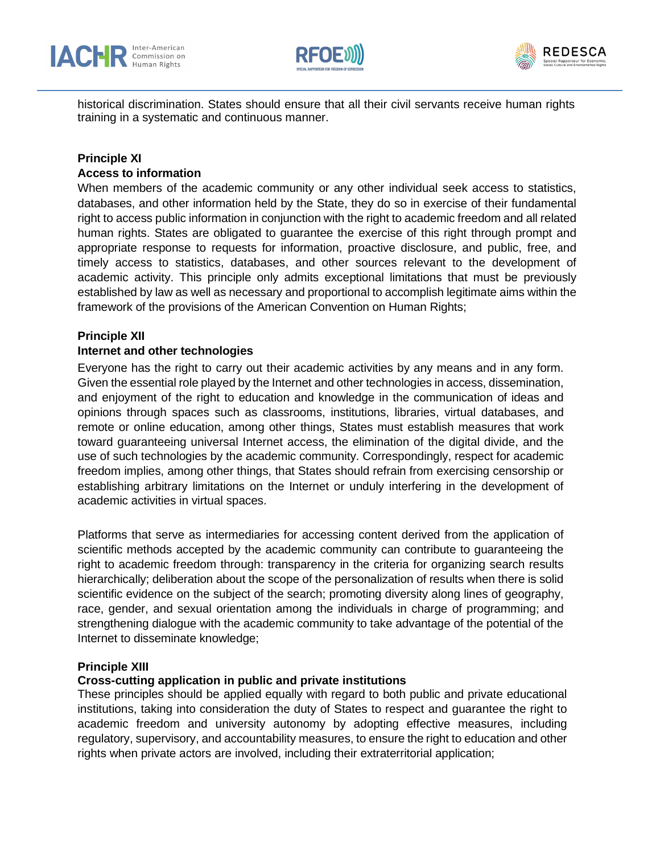





historical discrimination. States should ensure that all their civil servants receive human rights training in a systematic and continuous manner.

# **Principle XI**

#### **Access to information**

When members of the academic community or any other individual seek access to statistics, databases, and other information held by the State, they do so in exercise of their fundamental right to access public information in conjunction with the right to academic freedom and all related human rights. States are obligated to guarantee the exercise of this right through prompt and appropriate response to requests for information, proactive disclosure, and public, free, and timely access to statistics, databases, and other sources relevant to the development of academic activity. This principle only admits exceptional limitations that must be previously established by law as well as necessary and proportional to accomplish legitimate aims within the framework of the provisions of the American Convention on Human Rights;

#### **Principle XII**

#### **Internet and other technologies**

Everyone has the right to carry out their academic activities by any means and in any form. Given the essential role played by the Internet and other technologies in access, dissemination, and enjoyment of the right to education and knowledge in the communication of ideas and opinions through spaces such as classrooms, institutions, libraries, virtual databases, and remote or online education, among other things, States must establish measures that work toward guaranteeing universal Internet access, the elimination of the digital divide, and the use of such technologies by the academic community. Correspondingly, respect for academic freedom implies, among other things, that States should refrain from exercising censorship or establishing arbitrary limitations on the Internet or unduly interfering in the development of academic activities in virtual spaces.

Platforms that serve as intermediaries for accessing content derived from the application of scientific methods accepted by the academic community can contribute to guaranteeing the right to academic freedom through: transparency in the criteria for organizing search results hierarchically; deliberation about the scope of the personalization of results when there is solid scientific evidence on the subject of the search; promoting diversity along lines of geography, race, gender, and sexual orientation among the individuals in charge of programming; and strengthening dialogue with the academic community to take advantage of the potential of the Internet to disseminate knowledge;

#### **Principle XIII**

#### **Cross-cutting application in public and private institutions**

These principles should be applied equally with regard to both public and private educational institutions, taking into consideration the duty of States to respect and guarantee the right to academic freedom and university autonomy by adopting effective measures, including regulatory, supervisory, and accountability measures, to ensure the right to education and other rights when private actors are involved, including their extraterritorial application;